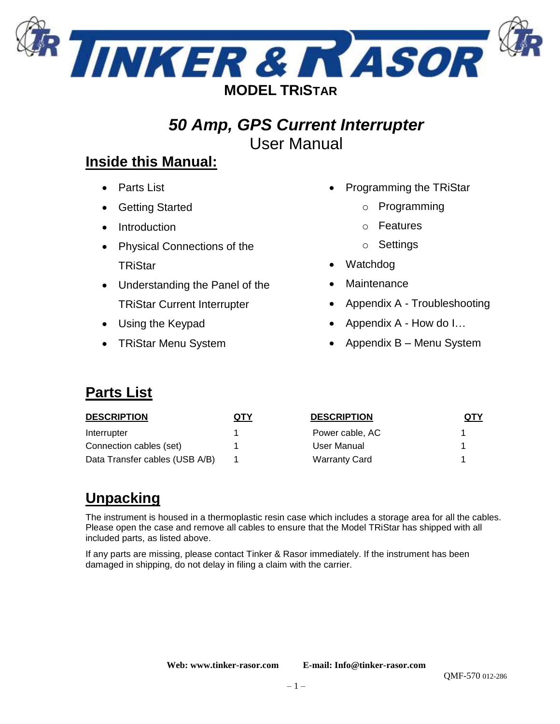

# *50 Amp, GPS Current Interrupter* User Manual

## **Inside this Manual:**

- Parts List
- **Getting Started**
- Introduction
- Physical Connections of the **TRiStar**
- Understanding the Panel of the TRiStar Current Interrupter
- Using the Keypad
- TRiStar Menu System
- Programming the TRiStar
	- o Programming
	- o Features
	- o Settings
- Watchdog
- **Maintenance**
- Appendix A Troubleshooting
- Appendix A How do I…
- Appendix B Menu System

## **Parts List**

| <b>DESCRIPTION</b>             | QTY | <b>DESCRIPTION</b>   | QTY |
|--------------------------------|-----|----------------------|-----|
| Interrupter                    |     | Power cable, AC      |     |
| Connection cables (set)        |     | User Manual          |     |
| Data Transfer cables (USB A/B) |     | <b>Warranty Card</b> |     |

# **Unpacking**

The instrument is housed in a thermoplastic resin case which includes a storage area for all the cables. Please open the case and remove all cables to ensure that the Model TRiStar has shipped with all included parts, as listed above.

If any parts are missing, please contact Tinker & Rasor immediately. If the instrument has been damaged in shipping, do not delay in filing a claim with the carrier.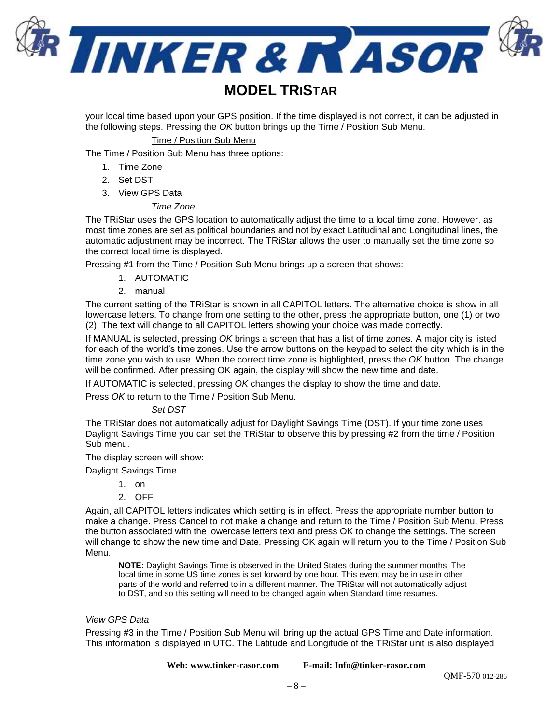

### **MODEL TRISTAR**

your local time based upon your GPS position. If the time displayed is not correct, it can be adjusted in the following steps. Pressing the *OK* button brings up the Time / Position Sub Menu.

#### Time / Position Sub Menu

The Time / Position Sub Menu has three options:

- 1. Time Zone
- 2. Set DST
- 3. View GPS Data

#### *Time Zone*

The TRiStar uses the GPS location to automatically adjust the time to a local time zone. However, as most time zones are set as political boundaries and not by exact Latitudinal and Longitudinal lines, the automatic adjustment may be incorrect. The TRiStar allows the user to manually set the time zone so the correct local time is displayed.

Pressing #1 from the Time / Position Sub Menu brings up a screen that shows:

- 1. AUTOMATIC
- 2. manual

The current setting of the TRiStar is shown in all CAPITOL letters. The alternative choice is show in all lowercase letters. To change from one setting to the other, press the appropriate button, one (1) or two (2). The text will change to all CAPITOL letters showing your choice was made correctly.

If MANUAL is selected, pressing *OK* brings a screen that has a list of time zones. A major city is listed for each of the world's time zones. Use the arrow buttons on the keypad to select the city which is in the time zone you wish to use. When the correct time zone is highlighted, press the *OK* button. The change will be confirmed. After pressing OK again, the display will show the new time and date.

If AUTOMATIC is selected, pressing *OK* changes the display to show the time and date.

Press *OK* to return to the Time / Position Sub Menu.

#### *Set DST*

The TRiStar does not automatically adjust for Daylight Savings Time (DST). If your time zone uses Daylight Savings Time you can set the TRiStar to observe this by pressing #2 from the time / Position Sub menu.

The display screen will show:

Daylight Savings Time

- 1. on
- 2. OFF

Again, all CAPITOL letters indicates which setting is in effect. Press the appropriate number button to make a change. Press Cancel to not make a change and return to the Time / Position Sub Menu. Press the button associated with the lowercase letters text and press OK to change the settings. The screen will change to show the new time and Date. Pressing OK again will return you to the Time / Position Sub Menu.

**NOTE:** Daylight Savings Time is observed in the United States during the summer months. The local time in some US time zones is set forward by one hour. This event may be in use in other parts of the world and referred to in a different manner. The TRiStar will not automatically adjust to DST, and so this setting will need to be changed again when Standard time resumes.

#### *View GPS Data*

Pressing #3 in the Time / Position Sub Menu will bring up the actual GPS Time and Date information. This information is displayed in UTC. The Latitude and Longitude of the TRiStar unit is also displayed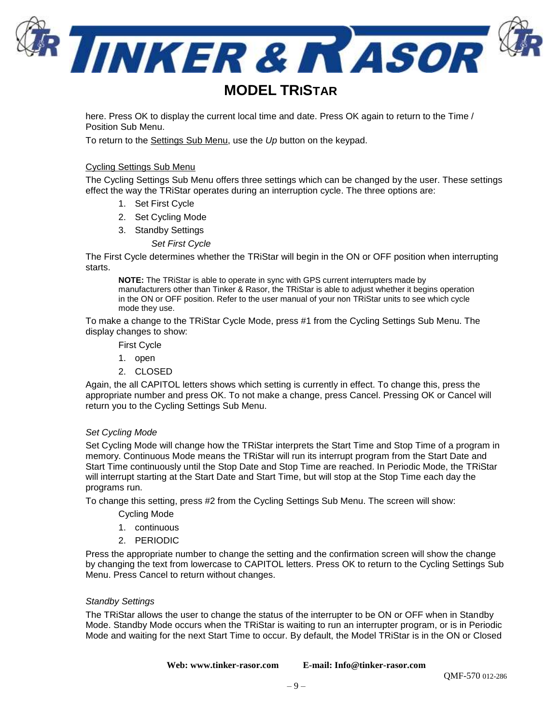

here. Press OK to display the current local time and date. Press OK again to return to the Time / Position Sub Menu.

To return to the Settings Sub Menu, use the *Up* button on the keypad.

#### Cycling Settings Sub Menu

The Cycling Settings Sub Menu offers three settings which can be changed by the user. These settings effect the way the TRiStar operates during an interruption cycle. The three options are:

- 1. Set First Cycle
- 2. Set Cycling Mode
- 3. Standby Settings
	- *Set First Cycle*

The First Cycle determines whether the TRiStar will begin in the ON or OFF position when interrupting starts.

**NOTE:** The TRiStar is able to operate in sync with GPS current interrupters made by manufacturers other than Tinker & Rasor, the TRiStar is able to adjust whether it begins operation in the ON or OFF position. Refer to the user manual of your non TRiStar units to see which cycle mode they use.

To make a change to the TRiStar Cycle Mode, press #1 from the Cycling Settings Sub Menu. The display changes to show:

- First Cycle
- 1. open
- 2. CLOSED

Again, the all CAPITOL letters shows which setting is currently in effect. To change this, press the appropriate number and press OK. To not make a change, press Cancel. Pressing OK or Cancel will return you to the Cycling Settings Sub Menu.

#### *Set Cycling Mode*

Set Cycling Mode will change how the TRiStar interprets the Start Time and Stop Time of a program in memory. Continuous Mode means the TRiStar will run its interrupt program from the Start Date and Start Time continuously until the Stop Date and Stop Time are reached. In Periodic Mode, the TRiStar will interrupt starting at the Start Date and Start Time, but will stop at the Stop Time each day the programs run.

To change this setting, press #2 from the Cycling Settings Sub Menu. The screen will show:

- Cycling Mode
- 1. continuous
- 2. PERIODIC

Press the appropriate number to change the setting and the confirmation screen will show the change by changing the text from lowercase to CAPITOL letters. Press OK to return to the Cycling Settings Sub Menu. Press Cancel to return without changes.

#### *Standby Settings*

The TRiStar allows the user to change the status of the interrupter to be ON or OFF when in Standby Mode. Standby Mode occurs when the TRiStar is waiting to run an interrupter program, or is in Periodic Mode and waiting for the next Start Time to occur. By default, the Model TRiStar is in the ON or Closed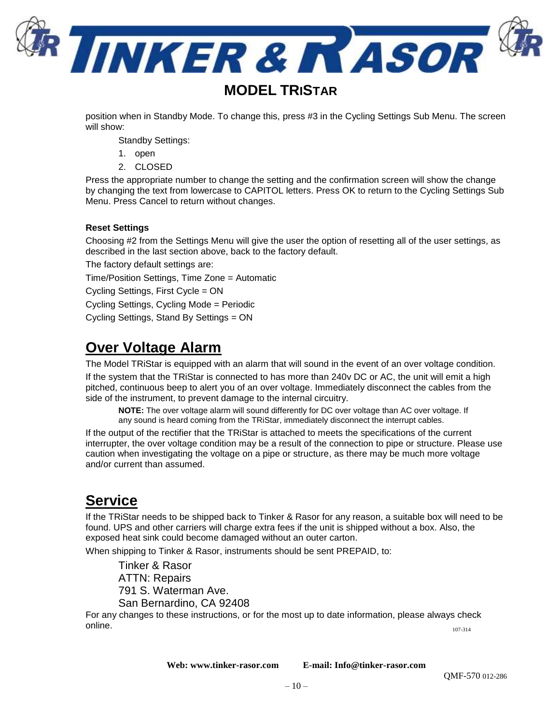

### **MODEL TRISTAR**

position when in Standby Mode. To change this, press #3 in the Cycling Settings Sub Menu. The screen will show:

Standby Settings:

- 1. open
- 2. CLOSED

Press the appropriate number to change the setting and the confirmation screen will show the change by changing the text from lowercase to CAPITOL letters. Press OK to return to the Cycling Settings Sub Menu. Press Cancel to return without changes.

#### **Reset Settings**

Choosing #2 from the Settings Menu will give the user the option of resetting all of the user settings, as described in the last section above, back to the factory default.

The factory default settings are:

Time/Position Settings, Time Zone = Automatic

Cycling Settings, First Cycle = ON

Cycling Settings, Cycling Mode = Periodic

Cycling Settings, Stand By Settings = ON

### **Over Voltage Alarm**

The Model TRiStar is equipped with an alarm that will sound in the event of an over voltage condition. If the system that the TRiStar is connected to has more than 240v DC or AC, the unit will emit a high pitched, continuous beep to alert you of an over voltage. Immediately disconnect the cables from the side of the instrument, to prevent damage to the internal circuitry.

**NOTE:** The over voltage alarm will sound differently for DC over voltage than AC over voltage. If any sound is heard coming from the TRiStar, immediately disconnect the interrupt cables.

If the output of the rectifier that the TRiStar is attached to meets the specifications of the current interrupter, the over voltage condition may be a result of the connection to pipe or structure. Please use caution when investigating the voltage on a pipe or structure, as there may be much more voltage and/or current than assumed.

### **Service**

If the TRiStar needs to be shipped back to Tinker & Rasor for any reason, a suitable box will need to be found. UPS and other carriers will charge extra fees if the unit is shipped without a box. Also, the exposed heat sink could become damaged without an outer carton.

When shipping to Tinker & Rasor, instruments should be sent PREPAID, to:

Tinker & Rasor ATTN: Repairs 2828 FM 758 New Braunfels, TX 78130

For any changes to these instructions, or for the most up to date information, please always check online. 107-314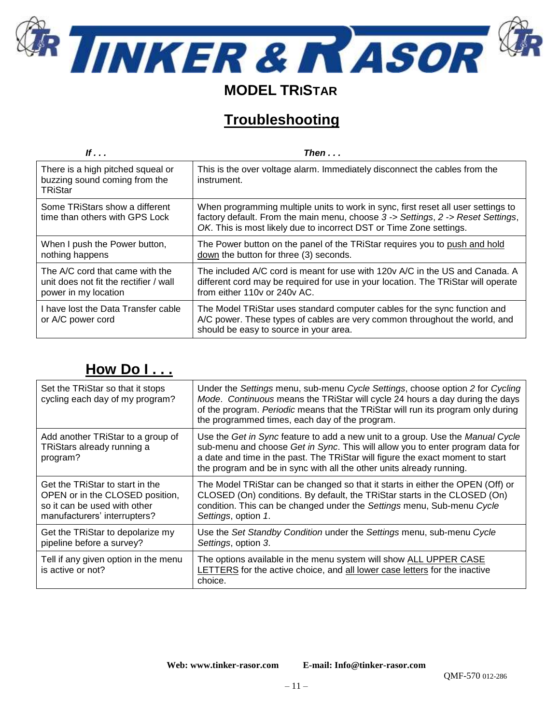

# **MODEL TRISTAR**

# **Troubleshooting**

| If                                                                                                | Then                                                                                                                                                                                                                                        |
|---------------------------------------------------------------------------------------------------|---------------------------------------------------------------------------------------------------------------------------------------------------------------------------------------------------------------------------------------------|
| There is a high pitched squeal or<br>buzzing sound coming from the<br>TRiStar                     | This is the over voltage alarm. Immediately disconnect the cables from the<br>instrument.                                                                                                                                                   |
| Some TRiStars show a different<br>time than others with GPS Lock                                  | When programming multiple units to work in sync, first reset all user settings to<br>factory default. From the main menu, choose 3 -> Settings, 2 -> Reset Settings,<br>OK. This is most likely due to incorrect DST or Time Zone settings. |
| When I push the Power button,<br>nothing happens                                                  | The Power button on the panel of the TRIStar requires you to push and hold<br>down the button for three (3) seconds.                                                                                                                        |
| The A/C cord that came with the<br>unit does not fit the rectifier / wall<br>power in my location | The included A/C cord is meant for use with 120y A/C in the US and Canada. A<br>different cord may be required for use in your location. The TRIStar will operate<br>from either 110y or 240y AC.                                           |
| I have lost the Data Transfer cable<br>or A/C power cord                                          | The Model TRiStar uses standard computer cables for the sync function and<br>A/C power. These types of cables are very common throughout the world, and<br>should be easy to source in your area.                                           |

# **How Do I . . .**

| Set the TRIStar so that it stops<br>cycling each day of my program?                                                                | Under the Settings menu, sub-menu Cycle Settings, choose option 2 for Cycling<br>Mode. Continuous means the TRIStar will cycle 24 hours a day during the days<br>of the program. Periodic means that the TRiStar will run its program only during<br>the programmed times, each day of the program.                        |
|------------------------------------------------------------------------------------------------------------------------------------|----------------------------------------------------------------------------------------------------------------------------------------------------------------------------------------------------------------------------------------------------------------------------------------------------------------------------|
| Add another TRiStar to a group of<br>TRiStars already running a<br>program?                                                        | Use the Get in Sync feature to add a new unit to a group. Use the Manual Cycle<br>sub-menu and choose Get in Sync. This will allow you to enter program data for<br>a date and time in the past. The TRiStar will figure the exact moment to start<br>the program and be in sync with all the other units already running. |
| Get the TRiStar to start in the<br>OPEN or in the CLOSED position,<br>so it can be used with other<br>manufacturers' interrupters? | The Model TRiStar can be changed so that it starts in either the OPEN (Off) or<br>CLOSED (On) conditions. By default, the TRiStar starts in the CLOSED (On)<br>condition. This can be changed under the Settings menu, Sub-menu Cycle<br>Settings, option 1.                                                               |
| Get the TRiStar to depolarize my<br>pipeline before a survey?                                                                      | Use the Set Standby Condition under the Settings menu, sub-menu Cycle<br>Settings, option 3.                                                                                                                                                                                                                               |
| Tell if any given option in the menu<br>is active or not?                                                                          | The options available in the menu system will show ALL UPPER CASE<br>LETTERS for the active choice, and all lower case letters for the inactive<br>choice.                                                                                                                                                                 |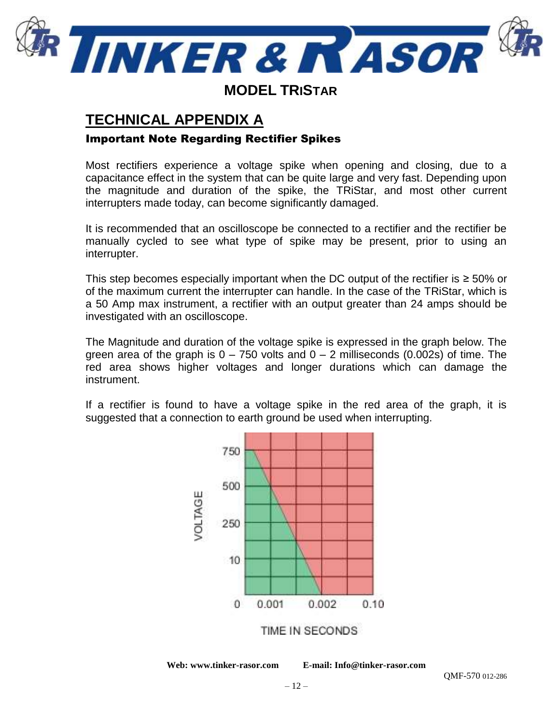

## **TECHNICAL APPENDIX A**

### Important Note Regarding Rectifier Spikes

Most rectifiers experience a voltage spike when opening and closing, due to a capacitance effect in the system that can be quite large and very fast. Depending upon the magnitude and duration of the spike, the TRiStar, and most other current interrupters made today, can become significantly damaged.

It is recommended that an oscilloscope be connected to a rectifier and the rectifier be manually cycled to see what type of spike may be present, prior to using an interrupter.

This step becomes especially important when the DC output of the rectifier is  $\geq 50\%$  or of the maximum current the interrupter can handle. In the case of the TRiStar, which is a 50 Amp max instrument, a rectifier with an output greater than 24 amps should be investigated with an oscilloscope.

The Magnitude and duration of the voltage spike is expressed in the graph below. The green area of the graph is  $0 - 750$  volts and  $0 - 2$  milliseconds (0.002s) of time. The red area shows higher voltages and longer durations which can damage the instrument.

If a rectifier is found to have a voltage spike in the red area of the graph, it is suggested that a connection to earth ground be used when interrupting.

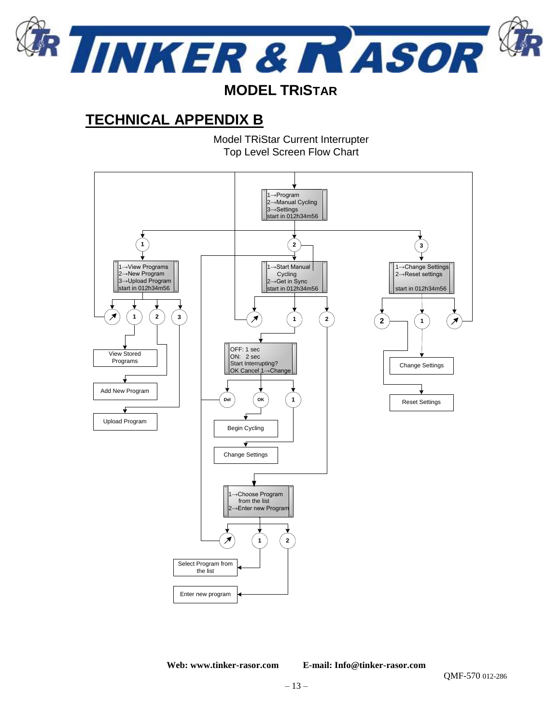

## **MODEL TRISTAR**

# **TECHNICAL APPENDIX B**

Model TRiStar Current Interrupter Top Level Screen Flow Chart

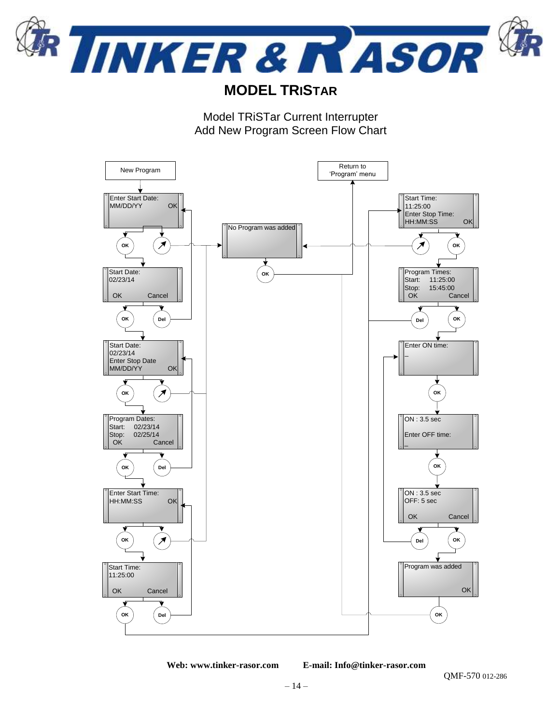

CORROSION MITIGATION INSTRUMENTATION 2828 FM 758, NEW BRAUNFELS, TX 78130 TEL: (830) 253-5621

## **MODEL TRISTAR**

Model TRiSTar Current Interrupter Add New Program Screen Flow Chart



**Web: www.tinker-rasor.com E-mail: Info@tinker-rasor.com**

QMF-570 012-286